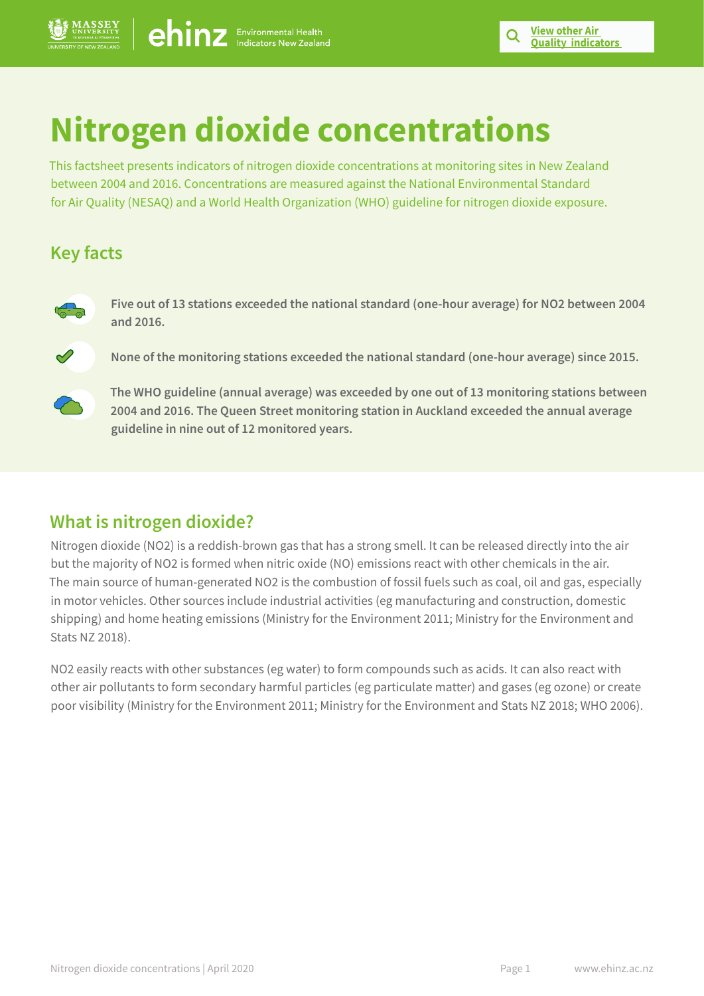# **Nitrogen dioxide concentrations**

This factsheet presents indicators of nitrogen dioxide concentrations at monitoring sites in New Zealand between 2004 and 2016. Concentrations are measured against the National Environmental Standard for Air Quality (NESAQ) and a World Health Organization (WHO) guideline for nitrogen dioxide exposure.

## **Key facts**



**Five out of 13 stations exceeded the national standard (one-hour average) for NO2 between 2004 and 2016.**

**None of the monitoring stations exceeded the national standard (one-hour average) since 2015.** 



**The WHO guideline (annual average) was exceeded by one out of 13 monitoring stations between 2004 and 2016. The Queen Street monitoring station in Auckland exceeded the annual average guideline in nine out of 12 monitored years.** 

## **What is nitrogen dioxide?**

Nitrogen dioxide (NO2) is a reddish-brown gas that has a strong smell. It can be released directly into the air but the majority of NO2 is formed when nitric oxide (NO) emissions react with other chemicals in the air. The main source of human-generated NO2 is the combustion of fossil fuels such as coal, oil and gas, especially in motor vehicles. Other sources include industrial activities (eg manufacturing and construction, domestic shipping) and home heating emissions (Ministry for the Environment 2011; Ministry for the Environment and Stats NZ 2018).

NO2 easily reacts with other substances (eg water) to form compounds such as acids. It can also react with other air pollutants to form secondary harmful particles (eg particulate matter) and gases (eg ozone) or create poor visibility (Ministry for the Environment 2011; Ministry for the Environment and Stats NZ 2018; WHO 2006).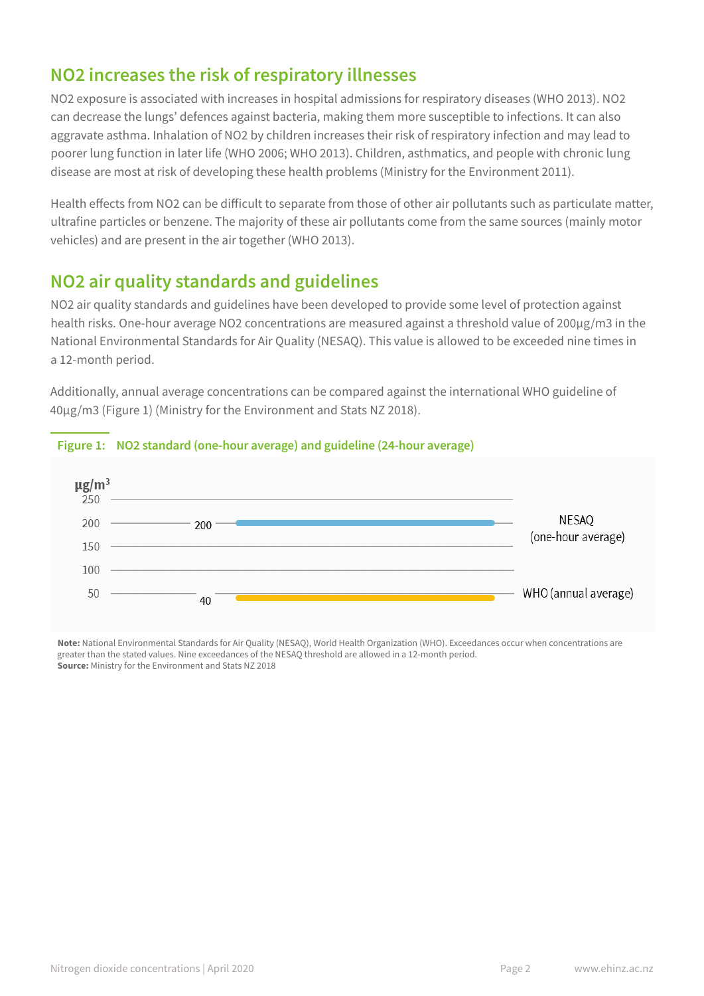## **NO2 increases the risk of respiratory illnesses**

NO2 exposure is associated with increases in hospital admissions for respiratory diseases (WHO 2013). NO2 can decrease the lungs' defences against bacteria, making them more susceptible to infections. It can also aggravate asthma. Inhalation of NO2 by children increases their risk of respiratory infection and may lead to poorer lung function in later life (WHO 2006; WHO 2013). Children, asthmatics, and people with chronic lung disease are most at risk of developing these health problems (Ministry for the Environment 2011).

Health effects from NO2 can be difficult to separate from those of other air pollutants such as particulate matter, ultrafine particles or benzene. The majority of these air pollutants come from the same sources (mainly motor vehicles) and are present in the air together (WHO 2013).

# **NO2 air quality standards and guidelines**

NO2 air quality standards and guidelines have been developed to provide some level of protection against health risks. One-hour average NO2 concentrations are measured against a threshold value of 200μg/m3 in the National Environmental Standards for Air Quality (NESAQ). This value is allowed to be exceeded nine times in a 12-month period.

Additionally, annual average concentrations can be compared against the international WHO guideline of 40μg/m3 (Figure 1) (Ministry for the Environment and Stats NZ 2018).



## **Figure 1: NO2 standard (one-hour average) and guideline (24-hour average)**

**Note:** National Environmental Standards for Air Quality (NESAQ), World Health Organization (WHO). Exceedances occur when concentrations are greater than the stated values. Nine exceedances of the NESAQ threshold are allowed in a 12-month period. **Source:** Ministry for the Environment and Stats NZ 2018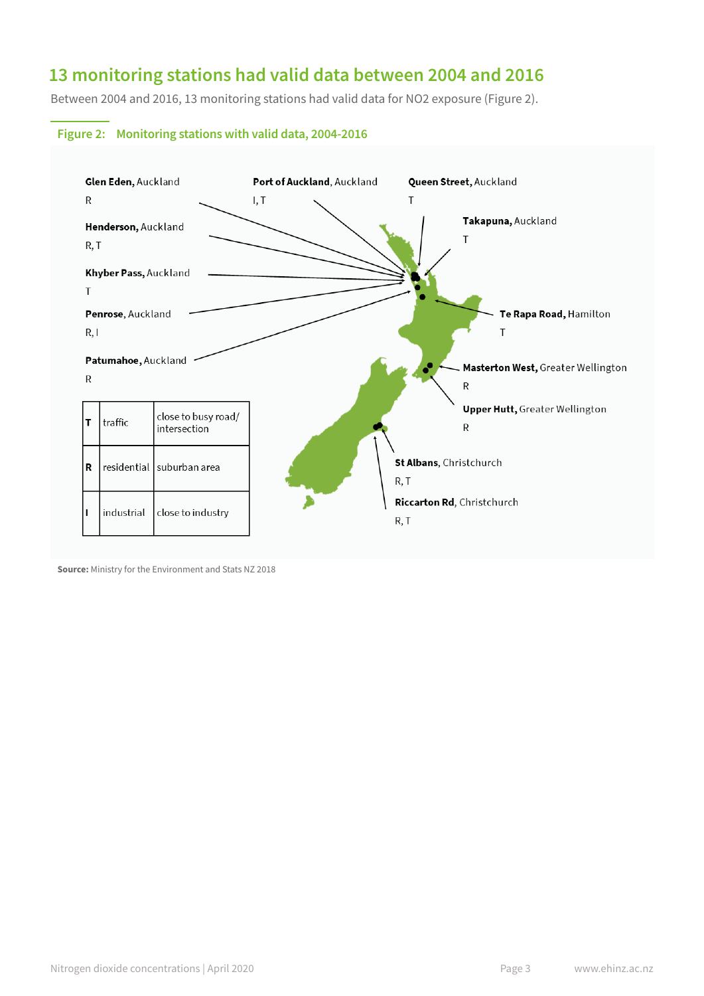# **13 monitoring stations had valid data between 2004 and 2016**

Between 2004 and 2016, 13 monitoring stations had valid data for NO2 exposure (Figure 2).





**Source:** Ministry for the Environment and Stats NZ 2018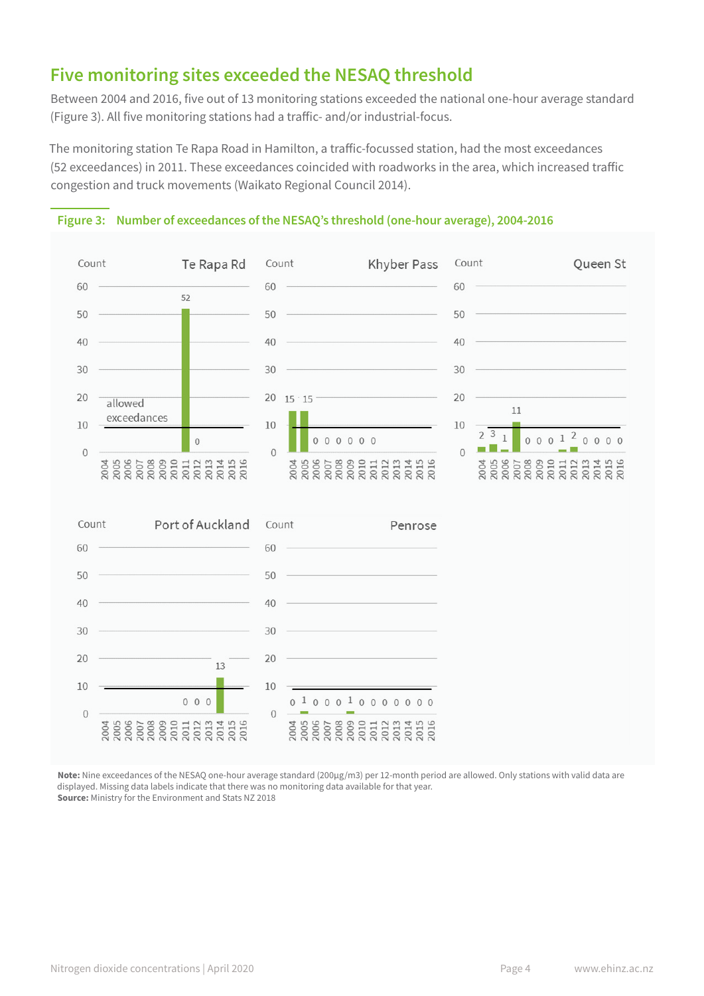# **Five monitoring sites exceeded the NESAQ threshold**

Between 2004 and 2016, five out of 13 monitoring stations exceeded the national one-hour average standard (Figure 3). All five monitoring stations had a traffic- and/or industrial-focus.

The monitoring station Te Rapa Road in Hamilton, a traffic-focussed station, had the most exceedances (52 exceedances) in 2011. These exceedances coincided with roadworks in the area, which increased traffic congestion and truck movements (Waikato Regional Council 2014).



#### **Figure 3: Number of exceedances of the NESAQ's threshold (one-hour average), 2004-2016**

**Note:** Nine exceedances of the NESAQ one-hour average standard (200µg/m3) per 12-month period are allowed. Only stations with valid data are displayed. Missing data labels indicate that there was no monitoring data available for that year. **Source:** Ministry for the Environment and Stats NZ 2018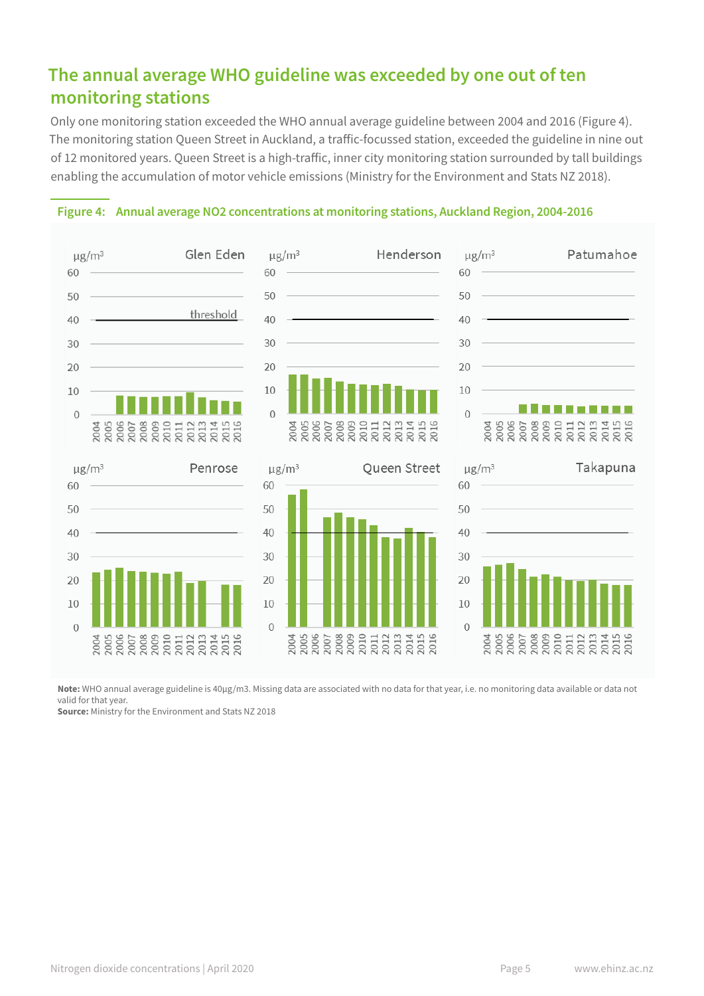# **The annual average WHO guideline was exceeded by one out of ten monitoring stations**

Only one monitoring station exceeded the WHO annual average guideline between 2004 and 2016 (Figure 4). The monitoring station Queen Street in Auckland, a traffic-focussed station, exceeded the guideline in nine out of 12 monitored years. Queen Street is a high-traffic, inner city monitoring station surrounded by tall buildings enabling the accumulation of motor vehicle emissions (Ministry for the Environment and Stats NZ 2018).

#### **Figure 4: Annual average NO2 concentrations at monitoring stations, Auckland Region, 2004-2016**



Note: WHO annual average guideline is 40μg/m3. Missing data are associated with no data for that year, i.e. no monitoring data available or data not valid for that year.

**Source:** Ministry for the Environment and Stats NZ 2018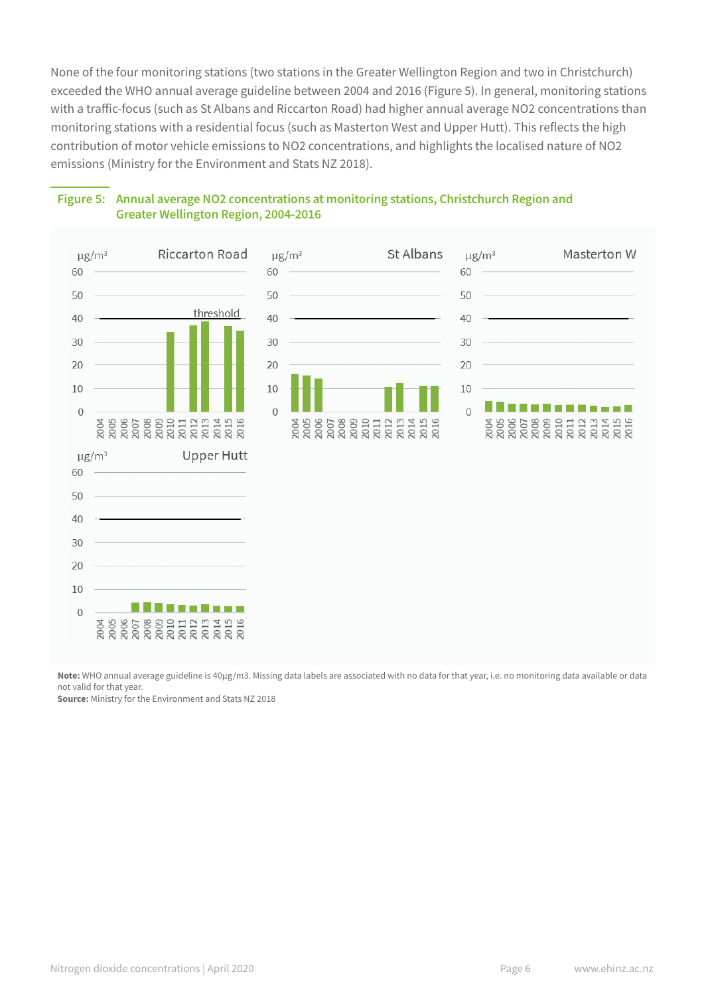None of the four monitoring stations (two stations in the Greater Wellington Region and two in Christchurch) exceeded the WHO annual average guideline between 2004 and 2016 (Figure 5). In general, monitoring stations with a traffic-focus (such as St Albans and Riccarton Road) had higher annual average NO2 concentrations than monitoring stations with a residential focus (such as Masterton West and Upper Hutt). This reflects the high contribution of motor vehicle emissions to NO2 concentrations, and highlights the localised nature of NO2 emissions (Ministry for the Environment and Stats NZ 2018).



#### **Figure 5: Annual average NO2 concentrations at monitoring stations, Christchurch Region and Greater Wellington Region, 2004-2016**

**Note:** WHO annual average guideline is 40µg/m3. Missing data labels are associated with no data for that year, i.e. no monitoring data available or data not valid for that year.

**Source:** Ministry for the Environment and Stats NZ 2018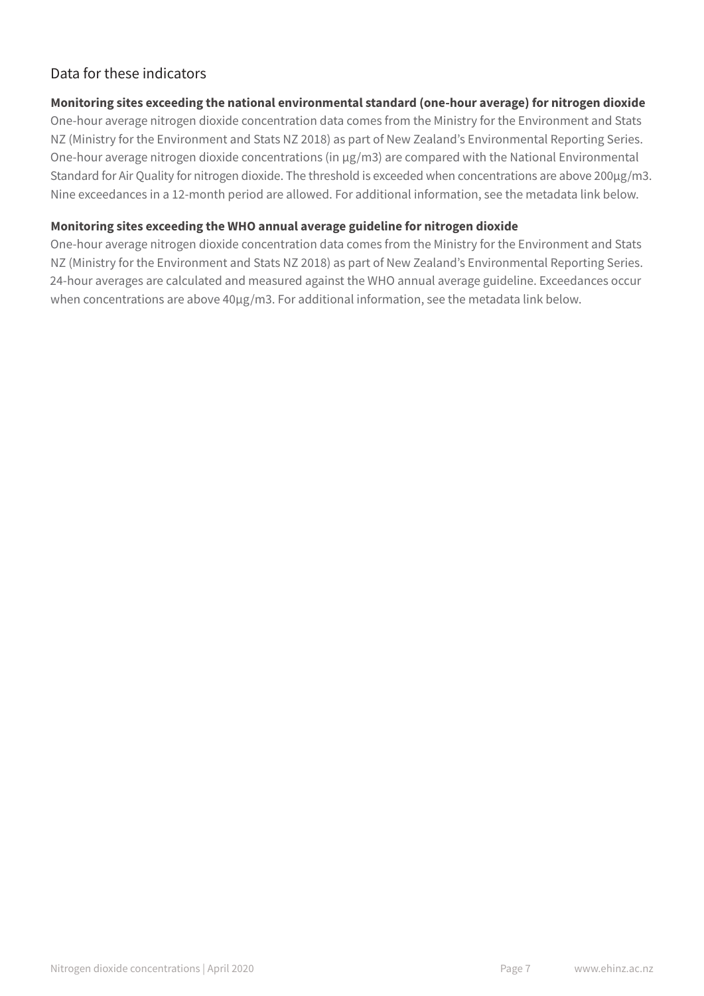## Data for these indicators

#### **Monitoring sites exceeding the national environmental standard (one-hour average) for nitrogen dioxide**

One-hour average nitrogen dioxide concentration data comes from the Ministry for the Environment and Stats NZ (Ministry for the Environment and Stats NZ 2018) as part of New Zealand's Environmental Reporting Series. One-hour average nitrogen dioxide concentrations (in µg/m3) are compared with the National Environmental Standard for Air Quality for nitrogen dioxide. The threshold is exceeded when concentrations are above 200µg/m3. Nine exceedances in a 12-month period are allowed. For additional information, see the metadata link below.

#### **Monitoring sites exceeding the WHO annual average guideline for nitrogen dioxide**

One-hour average nitrogen dioxide concentration data comes from the Ministry for the Environment and Stats NZ (Ministry for the Environment and Stats NZ 2018) as part of New Zealand's Environmental Reporting Series. 24-hour averages are calculated and measured against the WHO annual average guideline. Exceedances occur when concentrations are above 40µg/m3. For additional information, see the metadata link below.